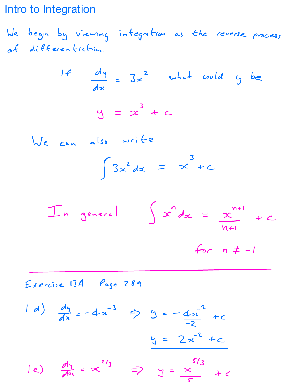Intro to Integration

We begin by viewing integration as the reverse process of differentiation

$$
\frac{df}{dx} = 3x^2 \quad \text{what could } y \text{ be}
$$
  

$$
y = x^3 + c
$$

We can also write  $\int 3x^2 dx = x^3 + c$ 

In general f sends Et <sup>e</sup> for <sup>n</sup> I

Exercise 13A Page 289  $\frac{dy}{dx} = -4x^{-3} \Rightarrow y = -4x$ z  $\overline{\phantom{a}}$  $y = 2x^{2} + c$ e)  $\frac{1}{2}$  =  $\infty$  =  $\frac{1}{2}$  y =  $\frac{1}{2}$ s  $\leq$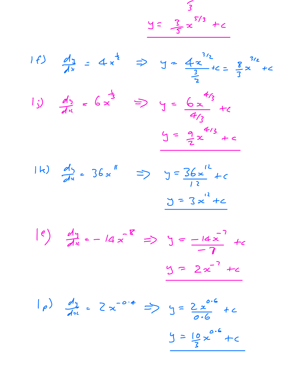$y = \frac{3}{5}x^{5/3} + c$ 









 $| \rho \rangle$   $\frac{d_1}{dx} = 2x^{-0.4} \Rightarrow y = \frac{2x^{0.6}}{0.6} + c$  $y = \frac{10}{2}x^{0.6} + c$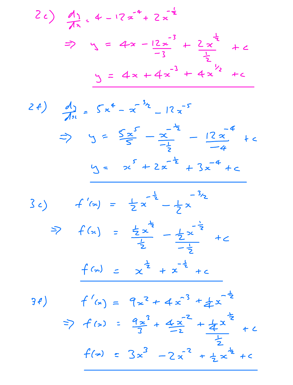2c) 
$$
\frac{dy}{dx} = 4 - 12x^4 + 2x^{-\frac{1}{2}}
$$
  
\n $\Rightarrow y = 4x - \frac{12x^3}{-3} + \frac{2x^{\frac{1}{2}}}{\frac{1}{2}} + c$   
\n $y = 4x + 4x^{-3} + 4x^{\frac{1}{2}} + c$ 

2f) 
$$
\frac{dy}{dx} = 5x^4 - x^{-3}z - 12x^{-5}
$$
  
\n $\Rightarrow y = \frac{5x^5}{5} - \frac{x^{-2}}{-\frac{1}{2}} - \frac{12x^{-4}}{-4} + c$   
\n $y = x^5 + 2x^{-\frac{1}{2}} + 3x^{-\frac{4}{2}} + c$ 



 $f'(x) = 9x^2 + 4x^3 + 4x^{-\frac{1}{2}}$  $\left( \frac{1}{2} \right)$ =>  $f(x) = \frac{9x^3}{3} + \frac{4x^2}{2} + \frac{4x^2}{3} + c$  $f(x) = 3x^3 - 2x^{-2} + \frac{1}{2}x^{\frac{1}{2}} + c$